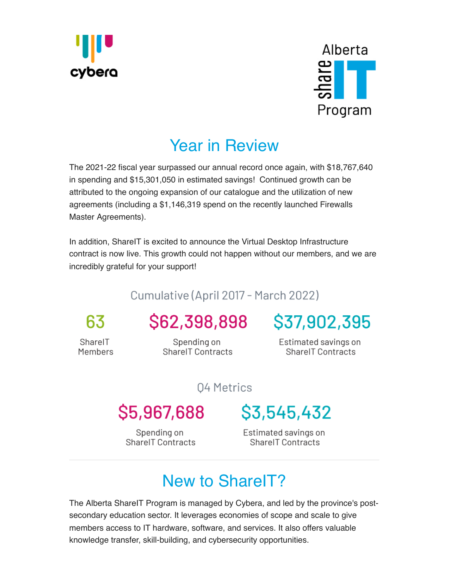



## [Year in Review](https://www.cybera.ca/shareit/)

The 2021-22 fiscal year surpassed our annual record once again, with \$18,767,640 in spending and \$15,301,050 in estimated savings! Continued growth can be attributed to the ongoing expansion of our catalogue and the utilization of new agreements (including a \$1,146,319 spend on the recently launched Firewalls Master Agreements).

In addition, ShareIT is excited to announce the Virtual Desktop Infrastructure contract is now live. This growth could not happen without our members, and we are incredibly grateful for your support!

## Cumulative (April 2017 - March 2022)

63

SharelT Members

Spending on

**ShareIT Contracts** 

\$62,398,898 \$37,902,395

Estimated savings on **ShareIT Contracts** 

04 Metrics

# \$5,967,688

Spending on SharelT Contracts \$3,545,432

Estimated savings on SharelT Contracts

# New to Share IT?

The Alberta ShareIT Program is managed by Cybera, and led by the province's postsecondary education sector. It leverages economies of scope and scale to give members access to IT hardware, software, and services. It also offers valuable knowledge transfer, skill-building, and cybersecurity opportunities.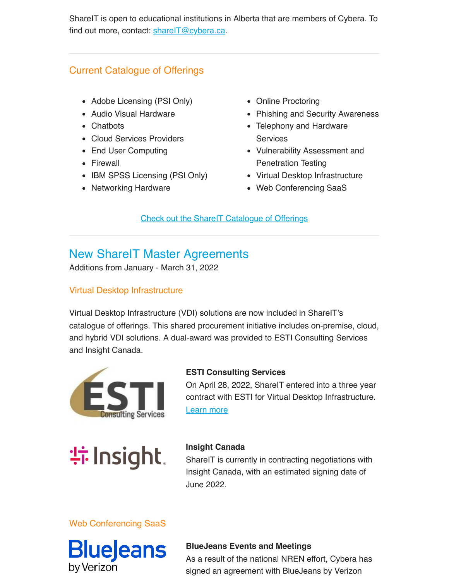[ShareIT is open](https://us1.campaign-archive.com/home/?u=a1a046f132&id=9d4f8a0bad) to educational institutions in Alberta that are members of [Cybera. To](javascript:;) find out more, contact: [shareIT@cybera.ca.](mailto:shareit@cybera.ca)

#### Current Catalogue of Offerings

- Adobe Licensing (PSI Only)
- Audio Visual Hardware
- Chatbots
- Cloud Services Providers
- End User Computing
- Firewall
- IBM SPSS Licensing (PSI Only)
- Networking Hardware
- Online Proctoring
- Phishing and Security Awareness
- Telephony and Hardware **Services**
- Vulnerability Assessment and Penetration Testing
- Virtual Desktop Infrastructure
- Web Conferencing SaaS

[Check out the ShareIT Catalogue of Offerings](https://www.cybera.ca/shareit-procurement/)

## New ShareIT Master Agreements

Additions from January - March 31, 2022

#### Virtual Desktop Infrastructure

Virtual Desktop Infrastructure (VDI) solutions are now included in ShareIT's catalogue of offerings. This shared procurement initiative includes on-premise, cloud, and hybrid VDI solutions. A dual-award was provided to ESTI Consulting Services and Insight Canada.



#### **ESTI Consulting Services**

On April 28, 2022, ShareIT entered into a three year contract with ESTI for Virtual Desktop Infrastructure. [Learn more](https://www.cybera.ca/shareit/vdi/)



#### **Insight Canada**

ShareIT is currently in contracting negotiations with Insight Canada, with an estimated signing date of June 2022.

#### Web Conferencing SaaS



#### **BlueJeans Events and Meetings**

As a result of the national NREN effort, Cybera has signed an agreement with BlueJeans by Verizon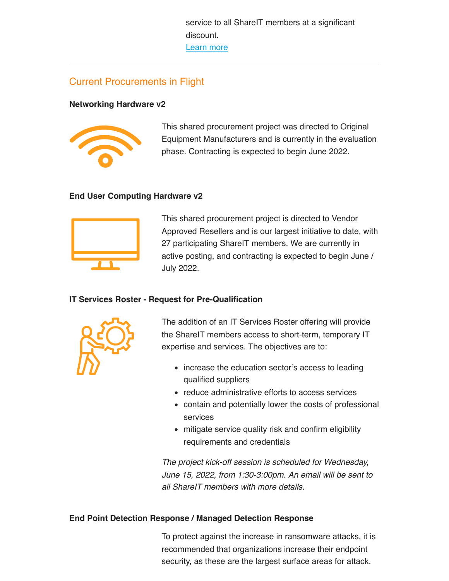service to all ShareIT members at a signifi[cant](javascript:;) discount. [Learn more](https://www.cybera.ca/shareit/web-conferencing/#bluejeans)

#### Current Procurements in Flight

#### **Networking Hardware v2**



This shared procurement project was directed to Original Equipment Manufacturers and is currently in the evaluation phase. Contracting is expected to begin June 2022.

#### **End User Computing Hardware v2**



This shared procurement project is directed to Vendor Approved Resellers and is our largest initiative to date, with 27 participating ShareIT members. We are currently in active posting, and contracting is expected to begin June / July 2022.

#### **IT Services Roster - Request for Pre-Qualification**



The addition of an IT Services Roster offering will provide the ShareIT members access to short-term, temporary IT expertise and services. The objectives are to:

- increase the education sector's access to leading qualified suppliers
- reduce administrative efforts to access services
- contain and potentially lower the costs of professional services
- mitigate service quality risk and confirm eligibility requirements and credentials

*The project kick-off session is scheduled for Wednesday, June 15, 2022, from 1:30-3:00pm. An email will be sent to all ShareIT members with more details.*

#### **End Point Detection Response / Managed Detection Response**

To protect against the increase in ransomware attacks, it is recommended that organizations increase their endpoint security, as these are the largest surface areas for attack.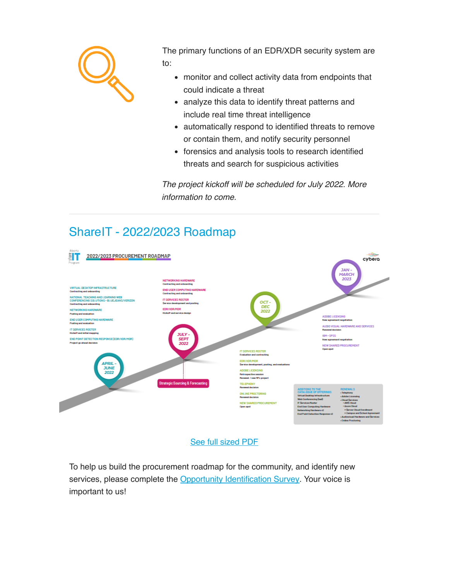

The primary functions of an EDR/XDR security system are to:

- monitor and collect activity data from endpoints that could indicate a threat
- analyze this data to identify threat patterns and include real time threat intelligence
- automatically respond to identified threats to remove or contain them, and notify security personnel
- forensics and analysis tools to research identified threats and search for suspicious activities

*The project kickoff will be scheduled for July 2022. More information to come.*

## [ShareIT - 2022/2023 Roadmap](https://www.cybera.ca/wp-content/uploads/2022/05/ShareIT-Roadmap_05.27.2022.pdf)



#### See full sized PDF

To help us build the procurement roadmap for the community, and identify new services, please complete the [Opportunity Identification Survey.](https://docs.google.com/forms/d/e/1FAIpQLSfTNV-b2PaFU_PBRSPuCT1_tGktPoz6ktDel9bkvC01sjfjAw/viewform) Your voice is important to us!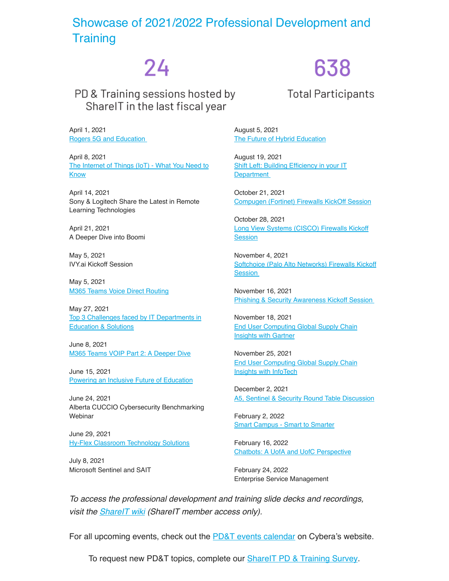### [Showcase of 2021/2022 Professional Development and](https://www.cybera.ca/shareit-professional-development/) **Training**

# 24

PD & Training sessions hosted by SharelT in the last fiscal year

April 1, 2021 [Rogers 5G and Education](https://www.cybera.ca/event/the-internet-of-things-iot-what-you-need-to-know-with-aruba-hpe/)

April 8, 2021 The Internet of Things (IoT) - What You Need to Know

April 14, 2021 Sony & Logitech Share the Latest in Remote Learning Technologies

April 21, 2021 A Deeper Dive into Boomi

May 5, 2021 IVY.ai Kickoff Session

May 5, 2021 [M365 Teams Voice Direct Routing](https://www.cybera.ca/event/m365-teams-voice-direct-routing-the-rogers-communications-experience/)

May 27, 2021 Top 3 Challenges faced by IT Departments in Education & Solutions

June 8, 2021 [M365 Teams VOIP Part 2: A Deeper Dive](https://www.cybera.ca/event/rogers-communications-m365-teams-voip-part-2-a-deeper-dive/)

June 15, 2021 [Powering an Inclusive Future of Education](https://www.cybera.ca/event/powering-an-inclusive-future-of-education-with-cisco/)

June 24, 2021 Alberta CUCCIO Cybersecurity Benchmarking **Webinar** 

June 29, 2021 [Hy-Flex Classroom Technology Solutions](https://www.cybera.ca/event/avi-spl-hy-flex-classroom-technology-solutions/)

July 8, 2021 Microsoft Sentinel and SAIT

August 5, 2021 [The Future of Hybrid Education](https://www.cybera.ca/event/shift-left-building-efficiency-in-your-it-department-for-education-with-topdesk/)

August 19, 2021 Shift Left: Building Efficiency in your IT **Department** 

October 21, 2021 [Compugen \(Fortinet\) Firewalls KickOff Session](https://www.cybera.ca/event/shareit-kickoff-onboarding-session-for-fortinet-firewalls-master-agreement-with-compugen/)

October 28, 2021 [Long View Systems \(CISCO\) Firewalls Kickoff](https://www.cybera.ca/event/shareit-kickoff-onboarding-session-for-palo-alto-networks-firewalls-master-agreement-with-softchoice/) **Session** 

November 4, 2021 [Softchoice \(Palo Alto Networks\) Firewalls Kickoff](https://www.cybera.ca/event/shareit-kickoff-onboarding-session-for-terranova-security-phishing-and-security-awareness-training-master-agreement-with-microserve/) **Session** 

November 16, 2021 [Phishing & Security Awareness Kickoff Ses](https://www.cybera.ca/event/end-user-computing-session-1-trends-challenges-and-mitigating-factors-in-the-education-sector-presented-by-gartner/)sion

November 18, 2021 [End User Computing Global Supply Chain](https://www.cybera.ca/event/end-user-computing-session-2-trends-challenges-and-mitigating-factors-in-the-education-sector-presented-by-infotech/) Insights with Gartner

November 25, 2021 [End User Computing Global Supply Chain](https://www.cybera.ca/event/a5-sentinel-security-round-table-discussion/) Insights with InfoTech

December 2, 2021 A5, Sentinel & Security Round Table Discussion

[February 2, 2022](https://www.cybera.ca/event/chatbots-a-university-of-alberta-and-university-of-calgary-perspective/) [Smart Campus - Smart to Smarter](https://www.cybera.ca/event/smart-campus-smart-to-smarter/)

February 16, 2022 Chatbots: A UofA and UofC Perspective

February 24, 2022 Enterprise Service Management

*To access the professional development and training slide decks and recordings, visit the [ShareIT wiki](https://wiki.cybera.ca/pages/viewpage.action?pageId=26443847) (ShareIT member access only).*

For all upcoming events, check out the [PD&T events calendar](https://www.cybera.ca/shareit-professional-development/) on Cybera's website.

To request new PD&T topics, complete our [ShareIT PD & Training Survey](https://docs.google.com/forms/d/e/1FAIpQLSeLrlDwH-3cBPtRgSL2i8JRKg6-5KVTdlRveqr7PwEWec496w/viewform).

# 638

**Total Participants**